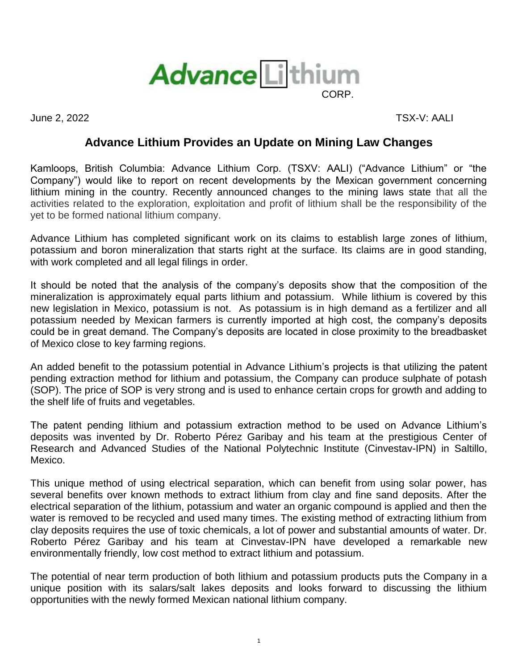

June 2, 2022 TSX-V: AALI

## **Advance Lithium Provides an Update on Mining Law Changes**

Kamloops, British Columbia: Advance Lithium Corp. (TSXV: AALI) ("Advance Lithium" or "the Company") would like to report on recent developments by the Mexican government concerning lithium mining in the country. Recently announced changes to the mining laws state that all the activities related to the exploration, exploitation and profit of lithium shall be the responsibility of the yet to be formed national lithium company.

Advance Lithium has completed significant work on its claims to establish large zones of lithium, potassium and boron mineralization that starts right at the surface. Its claims are in good standing, with work completed and all legal filings in order.

It should be noted that the analysis of the company's deposits show that the composition of the mineralization is approximately equal parts lithium and potassium. While lithium is covered by this new legislation in Mexico, potassium is not. As potassium is in high demand as a fertilizer and all potassium needed by Mexican farmers is currently imported at high cost, the company's deposits could be in great demand. The Company's deposits are located in close proximity to the breadbasket of Mexico close to key farming regions.

An added benefit to the potassium potential in Advance Lithium's projects is that utilizing the patent pending extraction method for lithium and potassium, the Company can produce sulphate of potash (SOP). The price of SOP is very strong and is used to enhance certain crops for growth and adding to the shelf life of fruits and vegetables.

The patent pending lithium and potassium extraction method to be used on Advance Lithium's deposits was invented by Dr. Roberto Pérez Garibay and his team at the prestigious Center of Research and Advanced Studies of the National Polytechnic Institute (Cinvestav-IPN) in Saltillo, Mexico.

This unique method of using electrical separation, which can benefit from using solar power, has several benefits over known methods to extract lithium from clay and fine sand deposits. After the electrical separation of the lithium, potassium and water an organic compound is applied and then the water is removed to be recycled and used many times. The existing method of extracting lithium from clay deposits requires the use of toxic chemicals, a lot of power and substantial amounts of water. Dr. Roberto Pérez Garibay and his team at Cinvestav-IPN have developed a remarkable new environmentally friendly, low cost method to extract lithium and potassium.

The potential of near term production of both lithium and potassium products puts the Company in a unique position with its salars/salt lakes deposits and looks forward to discussing the lithium opportunities with the newly formed Mexican national lithium company.